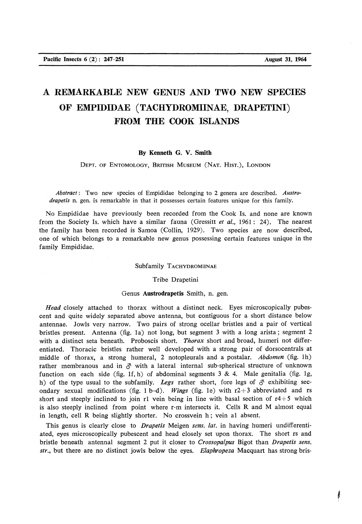# **A REMARKABLE NEW GENUS AND TWO NEW SPECIES OF EMPIDIDAE (TACHYDROMIINAE, DRAPETINI) FROM THE COOK ISLANDS**

# **By Kenneth G. V. Smith**

DEPT, OF ENTOMOLOGY, BRITISH MUSEUM (NAT. HIST.), LONDON

*Abstract*: Two new species of Empididae belonging to 2 genera are described. *Austrodrapetis* n. gen. is remarkable in that it possesses certain features unique for this family.

No Empididae have previously been recorded from the Cook Is. and none are known from the Society Is. which have a similar fauna (Gressitt *et al.,* 1961: 24). The nearest the family has been recorded is Samoa (Collin, 1929). Two species are now described, one of which belongs to a remarkable new genus possessing certain features unique in the family Empididae.

### Subfamily TACHYDROMIINAE

#### Tribe Drapetini

#### Genus **Austrodrapetis** Smith, n. gen.

*Head* closely attached to thorax without a distinct neck. Eyes microscopically pubescent and quite widely separated above antenna, but contiguous for a short distance below antennae. Jowls very narrow. Two pairs of strong ocellar bristles and a pair of vertical bristles present. Antenna (fig. Ia) not long, but segment 3 with a long arista; segment 2 with a distinct seta beneath. Proboscis short. *Thorax* short and broad, humeri not differentiated. Thoracic bristles rather well developed with a strong pair of dorsocentrals at middle of thorax, a strong humeral, 2 notopleurals and a postalar. Abdomen (fig. 1h) rather membranous and in *&* with a lateral internal sub-spherical structure of unknown function on each side (fig. 1f, h) of abdominal segments  $3 \& 4$ . Male genitalia (fig. 1g, h) of the type usual to the subfamily. Legs rather short, fore legs of  $\delta$  exhibiting secondary sexual modifications (fig. 1 b-d). *Wings* (fig. le) with r2+3 abbreviated and rs short and steeply inclined to join r1 vein being in line with basal section of  $r4+5$  which is also steeply inclined from point where r-m intersects it. Cells R and M almost equal in length, cell R being slightly shorter. No crossvein h; vein al absent.

This genus is clearly close to *Drapetis* Meigen *sens. lat.* in having humeri undifferentiated, eyes microscopically pubescent and head closely set upon thorax. The short rs and bristle beneath antennal segment 2 put it closer to *Crossopalpus* Bigot than *Drapetis sens. str.,* but there are no distinct jowls below the eyes. *Elaphropeza* Macquart has strong bris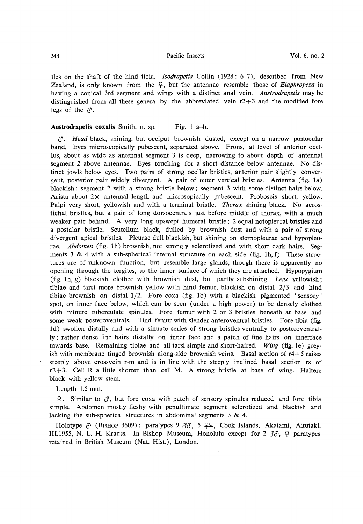ties on the shaft of the hind tibia. *Isodrapetis* Collin (1928 : 6-7), described from New Zealand, is only known from the £ , but the antennae resemble those of *Elaphropeza* in having a conical 3rd segment and wings with a distinct anal vein. *Austrodrapetis* may be distinguished from all these genera by the abbreviated vein  $r^2+3$  and the modified fore legs of the *&.* 

## **Austrodrapetis coxalis** Smith, n. sp. Fig. 1 a-h.

 $\beta$ . *Head* black, shining, but occiput brownish dusted, except on a narrow postocular band. Eyes microscopically pubescent, separated above. Frons, at level of anterior ocellus, about as wide as antennal segment 3 is deep, narrowing to about depth of antennal segment 2 above antennae. Eyes touching for a short distance below antennae. No distinct jowls below eyes. Two pairs of strong ocellar bristles, anterior pair slightly convergent, posterior pair widely divergent. A pair of outer vertical bristles. Antenna (fig. Ia) blackish; segment 2 with a strong bristle below; segment 3 with some distinct hairs below. Arista about  $2 \times$  antennal length and microsopically pubescent. Proboscis short, yellow. Palpi very short, yellowish and with a terminal bristle. *Thorax* shining black. No acrostichal bristles, but a pair of long dorsocentrals just before middle of thorax, with a much weaker pair behind. A very long upswept humeral bristle ; 2 equal notopleural bristles and a postalar bristle. Scutellum black, dulled by brownish dust and with a pair of strong divergent apical bristles. Pleurae dull blackish, but shining on sternopleurae and hypopleurae. *Abdomen* (fig. lh) brownish, not strongly sclerotized and with short dark hairs. Segments 3 & 4 with a sub-spherical internal structure on each side (fig. 1h, f) These structures are of unknown function, but resemble large glands, though there is apparently no opening through the tergites, to the inner surface of which they are attached. Hypopygium (fig. lh, g) blackish, clothed with brownish dust, but partly subshining. *Legs* yellowish; tibiae and tarsi more brownish yellow with hind femur, blackish on distal 2/3 and hind tibiae brownish on distal 1/2. Fore coxa (fig. Ib) with a blackish pigmented 'sensory' spot, on inner face below, which can be seen (under a high power) to be densely clothed with minute tuberculate spinules. Fore femur with 2 or 3 bristles beneath at base and some weak posteroventrals. Hind femur with slender anteroventral bristles. Fore tibia (fig. Id) swollen distally and with a sinuate series of strong bristles ventrally to posteroventrally; rather dense fine hairs distally on inner face and a patch of fine hairs on innerface towards base. Remaining tibiae and all tarsi simple and short-haired. *Wing* (fig. le) greyish with membrane tinged brownish along-side brownish veins. Basal section of  $r4+5$  raises steeply above crossvein r-m and is in line with the steeply inclined basal section rs of  $r2+3$ . Cell R a little shorter than cell M. A strong bristle at base of wing. Haltere black with yellow stem.

Length 1.5 mm.

 $\varphi$ . Similar to  $\varphi$ , but fore coxa with patch of sensory spinules reduced and fore tibia simple. Abdomen mostly fleshy with penultimate segment sclerotized and blackish and lacking the sub-spherical structures in abdominal segments 3 & 4.

Holotype  $\delta$  (Bishop 3609); paratypes 9  $\delta\delta$ , 5  $22$ , Cook Islands, Akaiami, Aitutaki, III.1955, N. L. H. Krauss. In Bishop Museum, Honolulu except for  $2 \, \partial \mathcal{S}$ ,  $\varphi$  paratypes retained in British Museum (Nat. Hist.), London.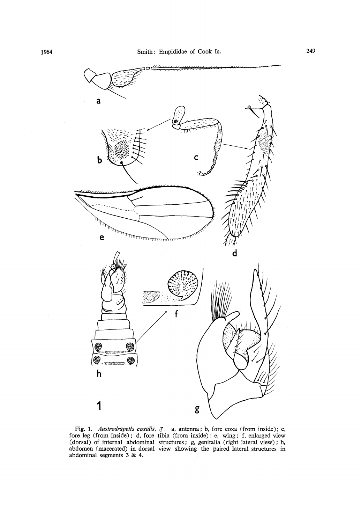

Fig. 1. *Austrodrapetis coxalis, &.* a, antenna; b, fore coxa (from inside); c, fore leg (from inside); d, fore tibia (from inside) ; e, wing; f, enlarged view (dorsal) of internal abdominal structures; g, genitalia (right lateral view); h, abdomen (macerated) in dorsal view showing the paired lateral structures in abdominal segments 3 & 4.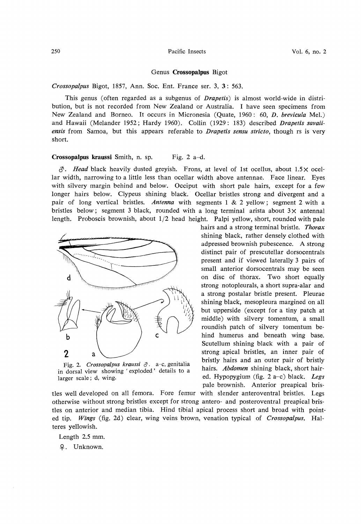#### 250 Pacific Insects Vol. 6, no. 2

#### Genus **Crossopalpus** Bigot

*Crossopalpus* Bigot, 1857, Ann. Soc. Ent. France ser. 3, 3 : 563.

This genus (often regarded as a subgenus of *Drapetis)* is almost world-wide in distribution, but is not recorded from New Zealand or Australia. I have seen specimens from New Zealand and Borneo. It occurs in Micronesia (Quate, 1960 : 60, *D. brevicula* Mel.) and Hawaii (Melander 1952; Hardy 1960). Collin (1929: 183) described *Drapetis savaiiensis* from Samoa, but this appears referable to *Drapetis sensu stricto,* though rs is very short.

## **Crossopalpus kraussi** Smith, n. sp. Fig. 2 a-d.

 $\beta$ . *Head* black heavily dusted greyish. Frons, at level of 1st ocellus, about 1.5 x ocellar width, narrowing to a little less than ocellar width above antennae. Face linear. Eyes with silvery margin behind and below. Occiput with short pale hairs, except for a few longer hairs below. Clypeus shining black. Ocellar bristles strong and divergent and a pair of long vertical bristles. *Antenna* with segments 1 & 2 yellow; segment 2 with a bristles below; segment 3 black, rounded with a long terminal arista about  $3 \times$  antennal length. Proboscis brownish, about 1/2 head height. Palpi yellow, short, rounded with pale



Fig. 2. *Crossopalpus kraussi &*. a-c, genitalia in dorsal view showing ' exploded' details to a larger scale; d, wing.

tles well developed on all femora. Fore femur with slender anteroventral bristles. Legs otherwise without strong bristles except for strong antero- and posteroventral preapical bristles on anterior and median tibia. Hind tibial apical process short and broad with pointed tip. *Wings* (fig. 2d) clear, wing veins brown, venation typical of *Crossopalpus.* Halteres yellowish.

Length 2.5 mm.

£ . Unknown.

hairs and a strong terminal bristle. *Thorax*  shining black, rather densely clothed with adpressed brownish pubescence. A strong distinct pair of prescutellar dorsocentrals present and if viewed laterally 3 pairs of small anterior dorsocentrals may be seen on disc of thorax. Two short equally strong notopleurals, a short supra-alar and a strong postalar bristle present. Pleurae shining black, mesopleura margined on all but upperside (except for a tiny patch at middle) with silvery tomentum, a small roundish patch of silvery tomentum behind humerus and beneath wing base. Scutellum shining black with a pair of strong apical bristles, an inner pair of bristly hairs and an outer pair of bristly hairs. *Abdomen* shining black, short haired. Hypopygium (fig. 2 a-c) black. *Legs*  pale brownish. Anterior preapical bris